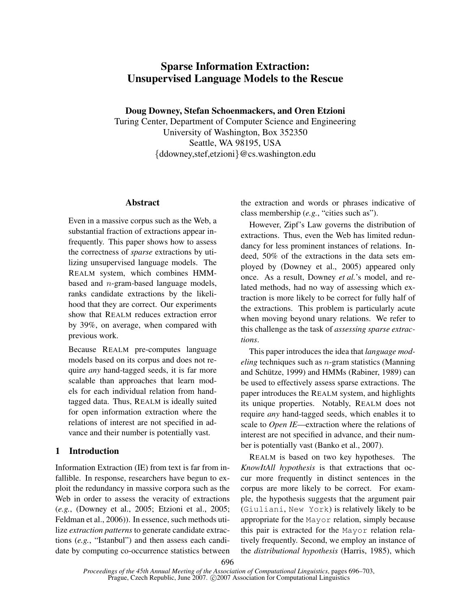# Sparse Information Extraction: Unsupervised Language Models to the Rescue

Doug Downey, Stefan Schoenmackers, and Oren Etzioni

Turing Center, Department of Computer Science and Engineering University of Washington, Box 352350 Seattle, WA 98195, USA {ddowney,stef,etzioni}@cs.washington.edu

# Abstract

Even in a massive corpus such as the Web, a substantial fraction of extractions appear infrequently. This paper shows how to assess the correctness of *sparse* extractions by utilizing unsupervised language models. The REALM system, which combines HMMbased and n-gram-based language models, ranks candidate extractions by the likelihood that they are correct. Our experiments show that REALM reduces extraction error by 39%, on average, when compared with previous work.

Because REALM pre-computes language models based on its corpus and does not require *any* hand-tagged seeds, it is far more scalable than approaches that learn models for each individual relation from handtagged data. Thus, REALM is ideally suited for open information extraction where the relations of interest are not specified in advance and their number is potentially vast.

# 1 Introduction

Information Extraction (IE) from text is far from infallible. In response, researchers have begun to exploit the redundancy in massive corpora such as the Web in order to assess the veracity of extractions (*e.g.*, (Downey et al., 2005; Etzioni et al., 2005; Feldman et al., 2006)). In essence, such methods utilize *extraction patterns* to generate candidate extractions (*e.g.*, "Istanbul") and then assess each candidate by computing co-occurrence statistics between the extraction and words or phrases indicative of class membership (*e.g.*, "cities such as").

However, Zipf's Law governs the distribution of extractions. Thus, even the Web has limited redundancy for less prominent instances of relations. Indeed, 50% of the extractions in the data sets employed by (Downey et al., 2005) appeared only once. As a result, Downey *et al.*'s model, and related methods, had no way of assessing which extraction is more likely to be correct for fully half of the extractions. This problem is particularly acute when moving beyond unary relations. We refer to this challenge as the task of *assessing sparse extractions*.

This paper introduces the idea that *language modeling* techniques such as n-gram statistics (Manning and Schütze, 1999) and HMMs (Rabiner, 1989) can be used to effectively assess sparse extractions. The paper introduces the REALM system, and highlights its unique properties. Notably, REALM does not require *any* hand-tagged seeds, which enables it to scale to *Open IE*—extraction where the relations of interest are not specified in advance, and their number is potentially vast (Banko et al., 2007).

REALM is based on two key hypotheses. The *KnowItAll hypothesis* is that extractions that occur more frequently in distinct sentences in the corpus are more likely to be correct. For example, the hypothesis suggests that the argument pair (Giuliani, New York) is relatively likely to be appropriate for the Mayor relation, simply because this pair is extracted for the Mayor relation relatively frequently. Second, we employ an instance of the *distributional hypothesis* (Harris, 1985), which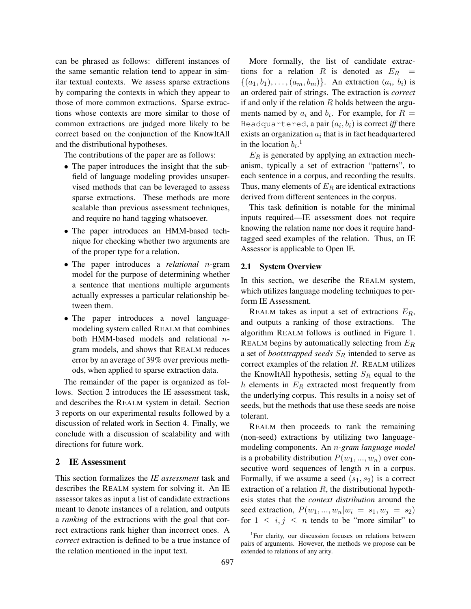can be phrased as follows: different instances of the same semantic relation tend to appear in similar textual contexts. We assess sparse extractions by comparing the contexts in which they appear to those of more common extractions. Sparse extractions whose contexts are more similar to those of common extractions are judged more likely to be correct based on the conjunction of the KnowItAll and the distributional hypotheses.

The contributions of the paper are as follows:

- The paper introduces the insight that the subfield of language modeling provides unsupervised methods that can be leveraged to assess sparse extractions. These methods are more scalable than previous assessment techniques, and require no hand tagging whatsoever.
- The paper introduces an HMM-based technique for checking whether two arguments are of the proper type for a relation.
- The paper introduces a *relational* n-gram model for the purpose of determining whether a sentence that mentions multiple arguments actually expresses a particular relationship between them.
- The paper introduces a novel languagemodeling system called REALM that combines both HMM-based models and relational ngram models, and shows that REALM reduces error by an average of 39% over previous methods, when applied to sparse extraction data.

The remainder of the paper is organized as follows. Section 2 introduces the IE assessment task, and describes the REALM system in detail. Section 3 reports on our experimental results followed by a discussion of related work in Section 4. Finally, we conclude with a discussion of scalability and with directions for future work.

# 2 IE Assessment

This section formalizes the *IE assessment* task and describes the REALM system for solving it. An IE assessor takes as input a list of candidate extractions meant to denote instances of a relation, and outputs a *ranking* of the extractions with the goal that correct extractions rank higher than incorrect ones. A *correct* extraction is defined to be a true instance of the relation mentioned in the input text.

More formally, the list of candidate extractions for a relation R is denoted as  $E_R$  =  $\{(a_1,b_1),\ldots,(a_m,b_m)\}\$ . An extraction  $(a_i, b_i)$  is an ordered pair of strings. The extraction is *correct* if and only if the relation  $R$  holds between the arguments named by  $a_i$  and  $b_i$ . For example, for  $R =$ Headquartered,  $\bm{\mathsf{a}}$  pair  $(a_i,b_i)$  is correct *iff* there exists an organization  $a_i$  that is in fact headquartered in the location  $b_i$ <sup>1</sup>.

 $E_R$  is generated by applying an extraction mechanism, typically a set of extraction "patterns", to each sentence in a corpus, and recording the results. Thus, many elements of  $E_R$  are identical extractions derived from different sentences in the corpus.

This task definition is notable for the minimal inputs required—IE assessment does not require knowing the relation name nor does it require handtagged seed examples of the relation. Thus, an IE Assessor is applicable to Open IE.

### 2.1 System Overview

In this section, we describe the REALM system, which utilizes language modeling techniques to perform IE Assessment.

REALM takes as input a set of extractions  $E_R$ , and outputs a ranking of those extractions. The algorithm REALM follows is outlined in Figure 1. REALM begins by automatically selecting from  $E_R$ a set of *bootstrapped seeds*  $S_R$  intended to serve as correct examples of the relation  $R$ . REALM utilizes the KnowItAll hypothesis, setting  $S_R$  equal to the  $h$  elements in  $E_R$  extracted most frequently from the underlying corpus. This results in a noisy set of seeds, but the methods that use these seeds are noise tolerant.

REALM then proceeds to rank the remaining (non-seed) extractions by utilizing two languagemodeling components. An n*-gram language model* is a probability distribution  $P(w_1, ..., w_n)$  over consecutive word sequences of length  $n$  in a corpus. Formally, if we assume a seed  $(s_1, s_2)$  is a correct extraction of a relation  $R$ , the distributional hypothesis states that the *context distribution* around the seed extraction,  $P(w_1, ..., w_n|w_i = s_1, w_j = s_2)$ for  $1 \leq i, j \leq n$  tends to be "more similar" to

<sup>&</sup>lt;sup>1</sup>For clarity, our discussion focuses on relations between pairs of arguments. However, the methods we propose can be extended to relations of any arity.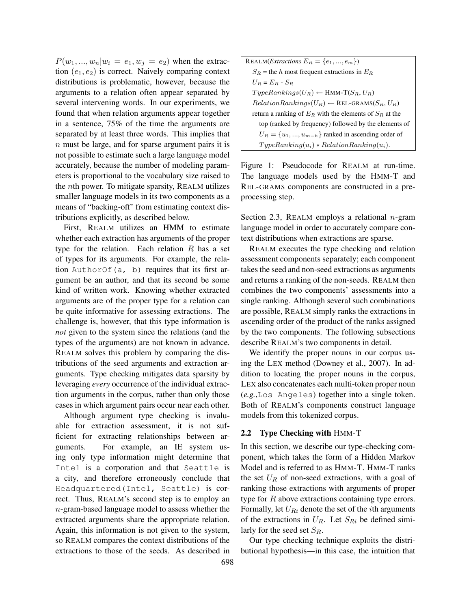$P(w_1, ..., w_n|w_i = e_1, w_j = e_2)$  when the extraction  $(e_1, e_2)$  is correct. Naively comparing context distributions is problematic, however, because the arguments to a relation often appear separated by several intervening words. In our experiments, we found that when relation arguments appear together in a sentence, 75% of the time the arguments are separated by at least three words. This implies that n must be large, and for sparse argument pairs it is not possible to estimate such a large language model accurately, because the number of modeling parameters is proportional to the vocabulary size raised to the nth power. To mitigate sparsity, REALM utilizes smaller language models in its two components as a means of "backing-off' from estimating context distributions explicitly, as described below.

First, REALM utilizes an HMM to estimate whether each extraction has arguments of the proper type for the relation. Each relation  $R$  has a set of types for its arguments. For example, the relation AuthorOf $(a, b)$  requires that its first argument be an author, and that its second be some kind of written work. Knowing whether extracted arguments are of the proper type for a relation can be quite informative for assessing extractions. The challenge is, however, that this type information is *not* given to the system since the relations (and the types of the arguments) are not known in advance. REALM solves this problem by comparing the distributions of the seed arguments and extraction arguments. Type checking mitigates data sparsity by leveraging *every* occurrence of the individual extraction arguments in the corpus, rather than only those cases in which argument pairs occur near each other.

Although argument type checking is invaluable for extraction assessment, it is not sufficient for extracting relationships between arguments. For example, an IE system using only type information might determine that Intel is a corporation and that Seattle is a city, and therefore erroneously conclude that Headquartered(Intel, Seattle) is correct. Thus, REALM's second step is to employ an n-gram-based language model to assess whether the extracted arguments share the appropriate relation. Again, this information is not given to the system, so REALM compares the context distributions of the extractions to those of the seeds. As described in

| REALM( <i>Extractions</i> $E_R = \{e_1, , e_m\}$ )            |
|---------------------------------------------------------------|
| $S_R$ = the h most frequent extractions in $E_R$              |
| $U_B = E_B - S_B$                                             |
| $TypeRankings(U_R) \leftarrow$ HMM-T $(S_R, U_R)$             |
| $RelationRankings(U_R) \leftarrow \text{REL-GRAMS}(S_R, U_R)$ |
| return a ranking of $E_R$ with the elements of $S_R$ at the   |
| top (ranked by frequency) followed by the elements of         |
| $U_R = \{u_1, , u_{m-h}\}\$ ranked in ascending order of      |
| $TypeRanking(u_i) * RelationRanking(u_i).$                    |

Figure 1: Pseudocode for REALM at run-time. The language models used by the HMM-T and REL-GRAMS components are constructed in a preprocessing step.

Section 2.3, REALM employs a relational  $n$ -gram language model in order to accurately compare context distributions when extractions are sparse.

REALM executes the type checking and relation assessment components separately; each component takes the seed and non-seed extractions as arguments and returns a ranking of the non-seeds. REALM then combines the two components' assessments into a single ranking. Although several such combinations are possible, REALM simply ranks the extractions in ascending order of the product of the ranks assigned by the two components. The following subsections describe REALM's two components in detail.

We identify the proper nouns in our corpus using the LEX method (Downey et al., 2007). In addition to locating the proper nouns in the corpus, LEX also concatenates each multi-token proper noun (*e.g.*,Los Angeles) together into a single token. Both of REALM's components construct language models from this tokenized corpus.

## 2.2 Type Checking with HMM-T

In this section, we describe our type-checking component, which takes the form of a Hidden Markov Model and is referred to as HMM-T. HMM-T ranks the set  $U_R$  of non-seed extractions, with a goal of ranking those extractions with arguments of proper type for  $R$  above extractions containing type errors. Formally, let  $U_{Ri}$  denote the set of the *i*th arguments of the extractions in  $U_R$ . Let  $S_{Ri}$  be defined similarly for the seed set  $S_R$ .

Our type checking technique exploits the distributional hypothesis—in this case, the intuition that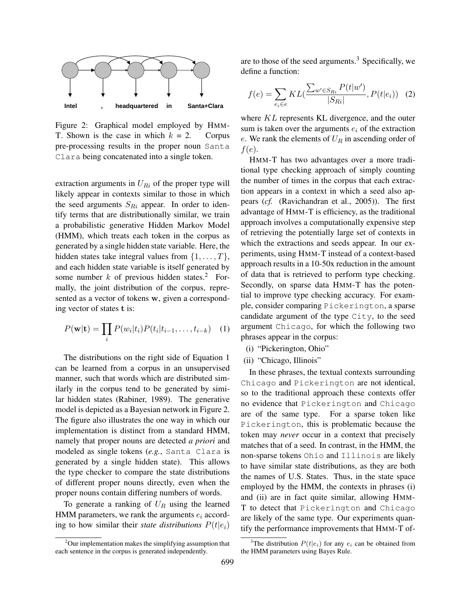

Figure 2: Graphical model employed by HMM-T. Shown is the case in which  $k = 2$ . Corpus pre-processing results in the proper noun Santa Clara being concatenated into a single token.

extraction arguments in  $U_{Ri}$  of the proper type will likely appear in contexts similar to those in which the seed arguments  $S_{Ri}$  appear. In order to identify terms that are distributionally similar, we train a probabilistic generative Hidden Markov Model (HMM), which treats each token in the corpus as generated by a single hidden state variable. Here, the hidden states take integral values from  $\{1, \ldots, T\}$ , and each hidden state variable is itself generated by some number  $k$  of previous hidden states.<sup>2</sup> Formally, the joint distribution of the corpus, represented as a vector of tokens w, given a corresponding vector of states t is:

$$
P(\mathbf{w}|\mathbf{t}) = \prod_{i} P(w_i|t_i) P(t_i|t_{i-1},\ldots,t_{i-k}) \quad (1)
$$

The distributions on the right side of Equation 1 can be learned from a corpus in an unsupervised manner, such that words which are distributed similarly in the corpus tend to be generated by similar hidden states (Rabiner, 1989). The generative model is depicted as a Bayesian network in Figure 2. The figure also illustrates the one way in which our implementation is distinct from a standard HMM, namely that proper nouns are detected *a priori* and modeled as single tokens (*e.g.*, Santa Clara is generated by a single hidden state). This allows the type checker to compare the state distributions of different proper nouns directly, even when the proper nouns contain differing numbers of words.

To generate a ranking of  $U_R$  using the learned HMM parameters, we rank the arguments  $e_i$  according to how similar their *state distributions*  $P(t|e_i)$ 

are to those of the seed arguments. $3$  Specifically, we define a function:

$$
f(e) = \sum_{e_i \in e} KL(\frac{\sum_{w' \in S_{Ri}} P(t|w')}{|S_{Ri}|}, P(t|e_i))
$$
 (2)

where  $KL$  represents KL divergence, and the outer sum is taken over the arguments  $e_i$  of the extraction e. We rank the elements of  $U_R$  in ascending order of  $f(e)$ .

HMM-T has two advantages over a more traditional type checking approach of simply counting the number of times in the corpus that each extraction appears in a context in which a seed also appears (*cf.* (Ravichandran et al., 2005)). The first advantage of HMM-T is efficiency, as the traditional approach involves a computationally expensive step of retrieving the potentially large set of contexts in which the extractions and seeds appear. In our experiments, using HMM-T instead of a context-based approach results in a 10-50x reduction in the amount of data that is retrieved to perform type checking. Secondly, on sparse data HMM-T has the potential to improve type checking accuracy. For example, consider comparing Pickerington, a sparse candidate argument of the type City, to the seed argument Chicago, for which the following two phrases appear in the corpus:

- (i) "Pickerington, Ohio"
- (ii) "Chicago, Illinois"

In these phrases, the textual contexts surrounding Chicago and Pickerington are not identical, so to the traditional approach these contexts offer no evidence that Pickerington and Chicago are of the same type. For a sparse token like Pickerington, this is problematic because the token may *never* occur in a context that precisely matches that of a seed. In contrast, in the HMM, the non-sparse tokens Ohio and Illinois are likely to have similar state distributions, as they are both the names of U.S. States. Thus, in the state space employed by the HMM, the contexts in phrases (i) and (ii) are in fact quite similar, allowing HMM-T to detect that Pickerington and Chicago are likely of the same type. Our experiments quantify the performance improvements that HMM-T of-

 $2$ Our implementation makes the simplifying assumption that each sentence in the corpus is generated independently.

<sup>&</sup>lt;sup>3</sup>The distribution  $P(t|e_i)$  for any  $e_i$  can be obtained from the HMM parameters using Bayes Rule.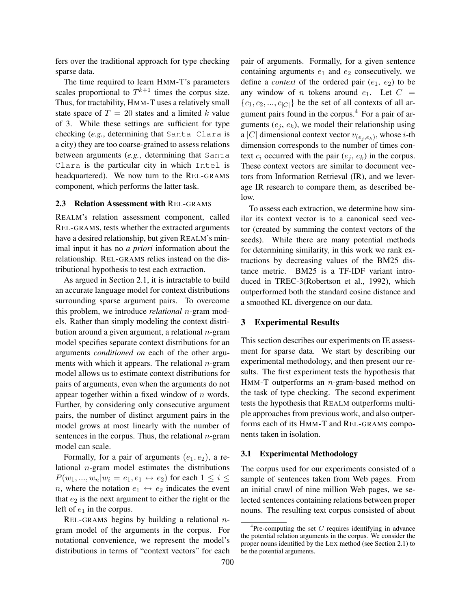fers over the traditional approach for type checking sparse data.

The time required to learn HMM-T's parameters scales proportional to  $T^{k+1}$  times the corpus size. Thus, for tractability, HMM-T uses a relatively small state space of  $T = 20$  states and a limited k value of 3. While these settings are sufficient for type checking (*e.g.*, determining that Santa Clara is a city) they are too coarse-grained to assess relations between arguments (*e.g.*, determining that Santa Clara is the particular city in which Intel is headquartered). We now turn to the REL-GRAMS component, which performs the latter task.

### 2.3 Relation Assessment with REL-GRAMS

REALM's relation assessment component, called REL-GRAMS, tests whether the extracted arguments have a desired relationship, but given REALM's minimal input it has no *a priori* information about the relationship. REL-GRAMS relies instead on the distributional hypothesis to test each extraction.

As argued in Section 2.1, it is intractable to build an accurate language model for context distributions surrounding sparse argument pairs. To overcome this problem, we introduce *relational* n-gram models. Rather than simply modeling the context distribution around a given argument, a relational  $n$ -gram model specifies separate context distributions for an arguments *conditioned on* each of the other arguments with which it appears. The relational  $n$ -gram model allows us to estimate context distributions for pairs of arguments, even when the arguments do not appear together within a fixed window of  $n$  words. Further, by considering only consecutive argument pairs, the number of distinct argument pairs in the model grows at most linearly with the number of sentences in the corpus. Thus, the relational  $n$ -gram model can scale.

Formally, for a pair of arguments  $(e_1, e_2)$ , a relational  $n$ -gram model estimates the distributions  $P(w_1, ..., w_n|w_i = e_1, e_1 \leftrightarrow e_2)$  for each  $1 \leq i \leq$ n, where the notation  $e_1 \leftrightarrow e_2$  indicates the event that  $e_2$  is the next argument to either the right or the left of  $e_1$  in the corpus.

REL-GRAMS begins by building a relational  $n$ gram model of the arguments in the corpus. For notational convenience, we represent the model's distributions in terms of "context vectors" for each pair of arguments. Formally, for a given sentence containing arguments  $e_1$  and  $e_2$  consecutively, we define a *context* of the ordered pair  $(e_1, e_2)$  to be any window of *n* tokens around  $e_1$ . Let  $C =$  ${c_1, c_2, ..., c_{|C|}}$  be the set of all contexts of all argument pairs found in the corpus.<sup>4</sup> For a pair of arguments  $(e_j, e_k)$ , we model their relationship using a |C| dimensional context vector  $v_{(e_j, e_k)}$ , whose *i*-th dimension corresponds to the number of times context  $c_i$  occurred with the pair  $(e_i, e_k)$  in the corpus. These context vectors are similar to document vectors from Information Retrieval (IR), and we leverage IR research to compare them, as described below.

To assess each extraction, we determine how similar its context vector is to a canonical seed vector (created by summing the context vectors of the seeds). While there are many potential methods for determining similarity, in this work we rank extractions by decreasing values of the BM25 distance metric. BM25 is a TF-IDF variant introduced in TREC-3(Robertson et al., 1992), which outperformed both the standard cosine distance and a smoothed KL divergence on our data.

### 3 Experimental Results

This section describes our experiments on IE assessment for sparse data. We start by describing our experimental methodology, and then present our results. The first experiment tests the hypothesis that HMM-T outperforms an  $n$ -gram-based method on the task of type checking. The second experiment tests the hypothesis that REALM outperforms multiple approaches from previous work, and also outperforms each of its HMM-T and REL-GRAMS components taken in isolation.

#### 3.1 Experimental Methodology

The corpus used for our experiments consisted of a sample of sentences taken from Web pages. From an initial crawl of nine million Web pages, we selected sentences containing relations between proper nouns. The resulting text corpus consisted of about

 ${}^{4}$ Pre-computing the set C requires identifying in advance the potential relation arguments in the corpus. We consider the proper nouns identified by the LEX method (see Section 2.1) to be the potential arguments.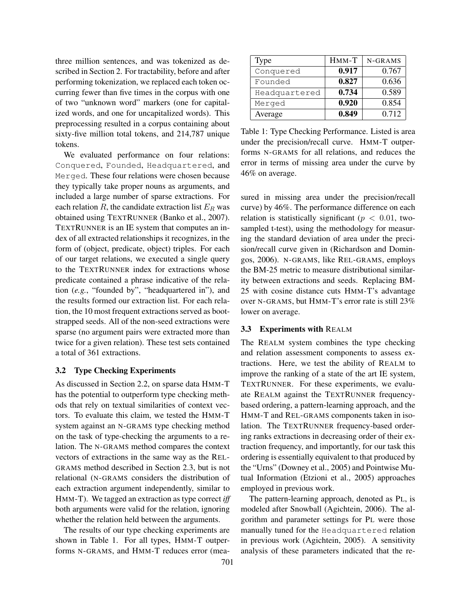three million sentences, and was tokenized as described in Section 2. For tractability, before and after performing tokenization, we replaced each token occurring fewer than five times in the corpus with one of two "unknown word" markers (one for capitalized words, and one for uncapitalized words). This preprocessing resulted in a corpus containing about sixty-five million total tokens, and 214,787 unique tokens.

We evaluated performance on four relations: Conquered, Founded, Headquartered, and Merged. These four relations were chosen because they typically take proper nouns as arguments, and included a large number of sparse extractions. For each relation  $R$ , the candidate extraction list  $E_R$  was obtained using TEXTRUNNER (Banko et al., 2007). TEXTRUNNER is an IE system that computes an index of all extracted relationships it recognizes, in the form of (object, predicate, object) triples. For each of our target relations, we executed a single query to the TEXTRUNNER index for extractions whose predicate contained a phrase indicative of the relation (*e.g.*, "founded by", "headquartered in"), and the results formed our extraction list. For each relation, the 10 most frequent extractions served as bootstrapped seeds. All of the non-seed extractions were sparse (no argument pairs were extracted more than twice for a given relation). These test sets contained a total of 361 extractions.

### 3.2 Type Checking Experiments

As discussed in Section 2.2, on sparse data HMM-T has the potential to outperform type checking methods that rely on textual similarities of context vectors. To evaluate this claim, we tested the HMM-T system against an N-GRAMS type checking method on the task of type-checking the arguments to a relation. The N-GRAMS method compares the context vectors of extractions in the same way as the REL-GRAMS method described in Section 2.3, but is not relational (N-GRAMS considers the distribution of each extraction argument independently, similar to HMM-T). We tagged an extraction as type correct *iff* both arguments were valid for the relation, ignoring whether the relation held between the arguments.

The results of our type checking experiments are shown in Table 1. For all types, HMM-T outperforms N-GRAMS, and HMM-T reduces error (mea-

| Type          | $H$ MM-T | N-GRAMS |
|---------------|----------|---------|
| Conquered     | 0.917    | 0.767   |
| Founded       | 0.827    | 0.636   |
| Headquartered | 0.734    | 0.589   |
| Merged        | 0.920    | 0.854   |
| Average       | 0.849    | 0.712   |

Table 1: Type Checking Performance. Listed is area under the precision/recall curve. HMM-T outperforms N-GRAMS for all relations, and reduces the error in terms of missing area under the curve by 46% on average.

sured in missing area under the precision/recall curve) by 46%. The performance difference on each relation is statistically significant ( $p < 0.01$ , twosampled t-test), using the methodology for measuring the standard deviation of area under the precision/recall curve given in (Richardson and Domingos, 2006). N-GRAMS, like REL-GRAMS, employs the BM-25 metric to measure distributional similarity between extractions and seeds. Replacing BM-25 with cosine distance cuts HMM-T's advantage over N-GRAMS, but HMM-T's error rate is still 23% lower on average.

### 3.3 Experiments with REALM

The REALM system combines the type checking and relation assessment components to assess extractions. Here, we test the ability of REALM to improve the ranking of a state of the art IE system, TEXTRUNNER. For these experiments, we evaluate REALM against the TEXTRUNNER frequencybased ordering, a pattern-learning approach, and the HMM-T and REL-GRAMS components taken in isolation. The TEXTRUNNER frequency-based ordering ranks extractions in decreasing order of their extraction frequency, and importantly, for our task this ordering is essentially equivalent to that produced by the "Urns" (Downey et al., 2005) and Pointwise Mutual Information (Etzioni et al., 2005) approaches employed in previous work.

The pattern-learning approach, denoted as PL, is modeled after Snowball (Agichtein, 2006). The algorithm and parameter settings for PL were those manually tuned for the Headquartered relation in previous work (Agichtein, 2005). A sensitivity analysis of these parameters indicated that the re-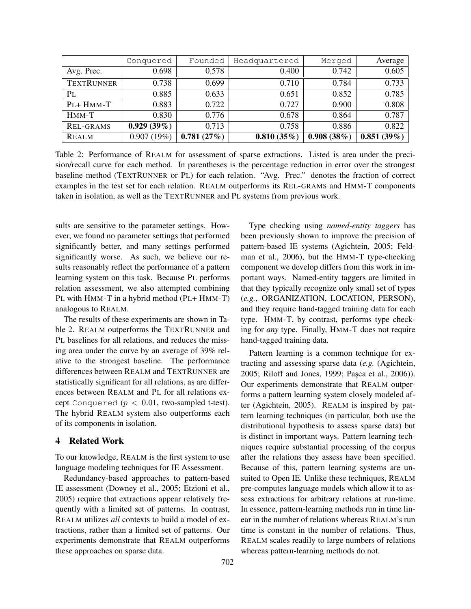|                   | Conquered  | Founded    | Headquartered | Merged     | Average    |
|-------------------|------------|------------|---------------|------------|------------|
| Avg. Prec.        | 0.698      | 0.578      | 0.400         | 0.742      | 0.605      |
| <b>TEXTRUNNER</b> | 0.738      | 0.699      | 0.710         | 0.784      | 0.733      |
| PL                | 0.885      | 0.633      | 0.651         | 0.852      | 0.785      |
| PL+ HMM-T         | 0.883      | 0.722      | 0.727         | 0.900      | 0.808      |
| $H$ MM-T          | 0.830      | 0.776      | 0.678         | 0.864      | 0.787      |
| REL-GRAMS         | 0.929(39%) | 0.713      | 0.758         | 0.886      | 0.822      |
| <b>REALM</b>      | 0.907(19%) | 0.781(27%) | 0.810(35%)    | 0.908(38%) | 0.851(39%) |

Table 2: Performance of REALM for assessment of sparse extractions. Listed is area under the precision/recall curve for each method. In parentheses is the percentage reduction in error over the strongest baseline method (TEXTRUNNER or PL) for each relation. "Avg. Prec." denotes the fraction of correct examples in the test set for each relation. REALM outperforms its REL-GRAMS and HMM-T components taken in isolation, as well as the TEXTRUNNER and PL systems from previous work.

sults are sensitive to the parameter settings. However, we found no parameter settings that performed significantly better, and many settings performed significantly worse. As such, we believe our results reasonably reflect the performance of a pattern learning system on this task. Because PL performs relation assessment, we also attempted combining PL with HMM-T in a hybrid method (PL+ HMM-T) analogous to REALM.

The results of these experiments are shown in Table 2. REALM outperforms the TEXTRUNNER and PL baselines for all relations, and reduces the missing area under the curve by an average of 39% relative to the strongest baseline. The performance differences between REALM and TEXTRUNNER are statistically significant for all relations, as are differences between REALM and PL for all relations except Conquered  $(p < 0.01$ , two-sampled t-test). The hybrid REALM system also outperforms each of its components in isolation.

# 4 Related Work

To our knowledge, REALM is the first system to use language modeling techniques for IE Assessment.

Redundancy-based approaches to pattern-based IE assessment (Downey et al., 2005; Etzioni et al., 2005) require that extractions appear relatively frequently with a limited set of patterns. In contrast, REALM utilizes *all* contexts to build a model of extractions, rather than a limited set of patterns. Our experiments demonstrate that REALM outperforms these approaches on sparse data.

Type checking using *named-entity taggers* has been previously shown to improve the precision of pattern-based IE systems (Agichtein, 2005; Feldman et al., 2006), but the HMM-T type-checking component we develop differs from this work in important ways. Named-entity taggers are limited in that they typically recognize only small set of types (*e.g.*, ORGANIZATION, LOCATION, PERSON), and they require hand-tagged training data for each type. HMM-T, by contrast, performs type checking for *any* type. Finally, HMM-T does not require hand-tagged training data.

Pattern learning is a common technique for extracting and assessing sparse data (*e.g.* (Agichtein, 2005; Riloff and Jones, 1999; Paşca et al., 2006)). Our experiments demonstrate that REALM outperforms a pattern learning system closely modeled after (Agichtein, 2005). REALM is inspired by pattern learning techniques (in particular, both use the distributional hypothesis to assess sparse data) but is distinct in important ways. Pattern learning techniques require substantial processing of the corpus after the relations they assess have been specified. Because of this, pattern learning systems are unsuited to Open IE. Unlike these techniques, REALM pre-computes language models which allow it to assess extractions for arbitrary relations at run-time. In essence, pattern-learning methods run in time linear in the number of relations whereas REALM's run time is constant in the number of relations. Thus, REALM scales readily to large numbers of relations whereas pattern-learning methods do not.